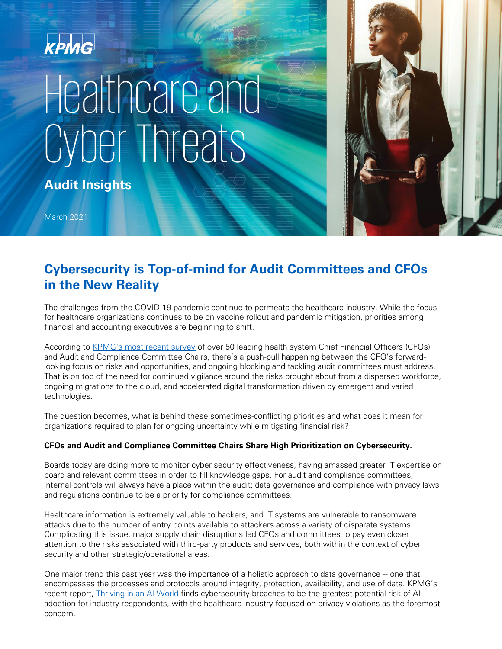# KPMG Healthcare and Cyber Threats

**Audit Insights**

March 2021

# **Cybersecurity is Top-of-mind for Audit Committees and CFOs in the New Reality**

The challenges from the COVID-19 pandemic continue to permeate the healthcare industry. While the focus for healthcare organizations continues to be on vaccine rollout and pandemic mitigation, priorities among financial and accounting executives are beginning to shift.

According to [KPMG's most recent survey](https://institutes.kpmg.us/content/dam/institutes/en/healthcare-life-sciences/pdfs/2021/2021-us-health-cfo-audit-committee-priorities.pdf) of over 50 leading health system Chief Financial Officers (CFOs) and Audit and Compliance Committee Chairs, there's a push-pull happening between the CFO's forwardlooking focus on risks and opportunities, and ongoing blocking and tackling audit committees must address. That is on top of the need for continued vigilance around the risks brought about from a dispersed workforce, ongoing migrations to the cloud, and accelerated digital transformation driven by emergent and varied technologies.

The question becomes, what is behind these sometimes-conflicting priorities and what does it mean for organizations required to plan for ongoing uncertainty while mitigating financial risk?

## **CFOs and Audit and Compliance Committee Chairs Share High Prioritization on Cybersecurity.**

Boards today are doing more to monitor cyber security effectiveness, having amassed greater IT expertise on board and relevant committees in order to fill knowledge gaps. For audit and compliance committees, internal controls will always have a place within the audit; data governance and compliance with privacy laws and regulations continue to be a priority for compliance committees.

Healthcare information is extremely valuable to hackers, and IT systems are vulnerable to ransomware attacks due to the number of entry points available to attackers across a variety of disparate systems. Complicating this issue, major supply chain disruptions led CFOs and committees to pay even closer attention to the risks associated with third-party products and services, both within the context of cyber security and other strategic/operational areas.

One major trend this past year was the importance of a holistic approach to data governance – one that encompasses the processes and protocols around integrity, protection, availability, and use of data. KPMG's recent report, **Thriving in an AI World** finds cybersecurity breaches to be the greatest potential risk of AI adoption for industry respondents, with the healthcare industry focused on privacy violations as the foremost concern.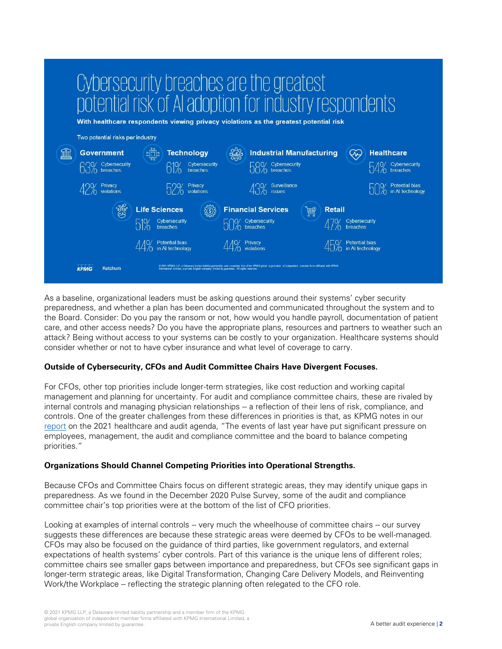| Cybersecurity breaches are the greatest<br>potential risk of AI adoption for industry respondents<br>With healthcare respondents viewing privacy violations as the greatest potential risk |                                                                                                                                                                                        |                                                                                                                                                                                                                                                    |                                                                          |
|--------------------------------------------------------------------------------------------------------------------------------------------------------------------------------------------|----------------------------------------------------------------------------------------------------------------------------------------------------------------------------------------|----------------------------------------------------------------------------------------------------------------------------------------------------------------------------------------------------------------------------------------------------|--------------------------------------------------------------------------|
| Two potential risks per industry                                                                                                                                                           |                                                                                                                                                                                        |                                                                                                                                                                                                                                                    |                                                                          |
| <b>Government</b><br><b>QQO</b> Cybersecurity<br>breaches<br>Privacy<br>violations                                                                                                         | <b>Technology</b><br>Cybersecurity<br>breaches<br>Privacy<br>violations                                                                                                                | <b>Industrial Manufacturing</b><br>Cybersecurity<br>$\sqrt{\Omega}$ breaches<br>Surveillance<br><i>issues</i>                                                                                                                                      | <b>Healthcare</b><br>Cybersecurity<br>Potential bias<br>in AI technology |
| <b>KPMG</b><br>Ketchum                                                                                                                                                                     | <b>Life Sciences</b><br>Cybersecurity<br>breaches<br>Potential bias<br>in AI technology<br>International Limited, a private English company limited by guarantee. All rights reserved. | <b>Financial Services</b><br><b>Retail</b><br>Cybersecurity<br>breaches<br>Privacy<br>C 2021 KPMG LLP, a Delaware limited liability partnership and a member firm of the KPMG global organization of independent member firms affiliated with KPMG | Cybersecurity<br><b>Potential bias</b><br>in AI technology               |

As a baseline, organizational leaders must be asking questions around their systems' cyber security preparedness, and whether a plan has been documented and communicated throughout the system and to the Board. Consider: Do you pay the ransom or not, how would you handle payroll, documentation of patient care, and other access needs? Do you have the appropriate plans, resources and partners to weather such an attack? Being without access to your systems can be costly to your organization. Healthcare systems should consider whether or not to have cyber insurance and what level of coverage to carry.

### **Outside of Cybersecurity, CFOs and Audit Committee Chairs Have Divergent Focuses.**

For CFOs, other top priorities include longer-term strategies, like cost reduction and working capital management and planning for uncertainty. For audit and compliance committee chairs, these are rivaled by internal controls and managing physician relationships -- a reflection of their lens of risk, compliance, and controls. One of the greater challenges from these differences in priorities is that, as KPMG notes in our [report](https://institutes.kpmg.us/healthcare-life-sciences/articles/2021/healthcare-audit-compliance-committee.html) on the 2021 healthcare and audit agenda, "The events of last year have put significant pressure on employees, management, the audit and compliance committee and the board to balance competing priorities."

### **Organizations Should Channel Competing Priorities into Operational Strengths.**

Because CFOs and Committee Chairs focus on different strategic areas, they may identify unique gaps in preparedness. As we found in the December 2020 Pulse Survey, some of the audit and compliance committee chair's top priorities were at the bottom of the list of CFO priorities.

Looking at examples of internal controls -- very much the wheelhouse of committee chairs -- our survey suggests these differences are because these strategic areas were deemed by CFOs to be well-managed. CFOs may also be focused on the guidance of third parties, like government regulators, and external expectations of health systems' cyber controls. Part of this variance is the unique lens of different roles; committee chairs see smaller gaps between importance and preparedness, but CFOs see significant gaps in longer-term strategic areas, like Digital Transformation, Changing Care Delivery Models, and Reinventing Work/the Workplace -- reflecting the strategic planning often relegated to the CFO role.